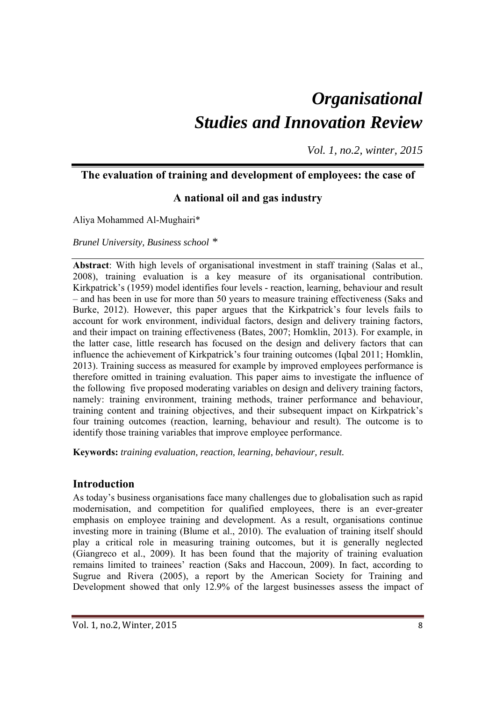# *Organisational Studies and Innovation Review*

*Vol. 1, no.2, winter, 2015*

# **The evaluation of training and development of employees: the case of**

# **A national oil and gas industry**

Aliya Mohammed Al-Mughairi\*

*Brunel University, Business school \** 

**Abstract**: With high levels of organisational investment in staff training (Salas et al., 2008), training evaluation is a key measure of its organisational contribution. Kirkpatrick's (1959) model identifies four levels - reaction, learning, behaviour and result – and has been in use for more than 50 years to measure training effectiveness (Saks and Burke, 2012). However, this paper argues that the Kirkpatrick's four levels fails to account for work environment, individual factors, design and delivery training factors, and their impact on training effectiveness (Bates, 2007; Homklin, 2013). For example, in the latter case, little research has focused on the design and delivery factors that can influence the achievement of Kirkpatrick's four training outcomes (Iqbal 2011; Homklin, 2013). Training success as measured for example by improved employees performance is therefore omitted in training evaluation. This paper aims to investigate the influence of the following five proposed moderating variables on design and delivery training factors, namely: training environment, training methods, trainer performance and behaviour, training content and training objectives, and their subsequent impact on Kirkpatrick's four training outcomes (reaction, learning, behaviour and result). The outcome is to identify those training variables that improve employee performance.

**Keywords:** *training evaluation, reaction, learning, behaviour, result.* 

# **Introduction**

As today's business organisations face many challenges due to globalisation such as rapid modernisation, and competition for qualified employees, there is an ever-greater emphasis on employee training and development. As a result, organisations continue investing more in training (Blume et al., 2010). The evaluation of training itself should play a critical role in measuring training outcomes, but it is generally neglected (Giangreco et al., 2009). It has been found that the majority of training evaluation remains limited to trainees' reaction (Saks and Haccoun, 2009). In fact, according to Sugrue and Rivera (2005), a report by the American Society for Training and Development showed that only 12.9% of the largest businesses assess the impact of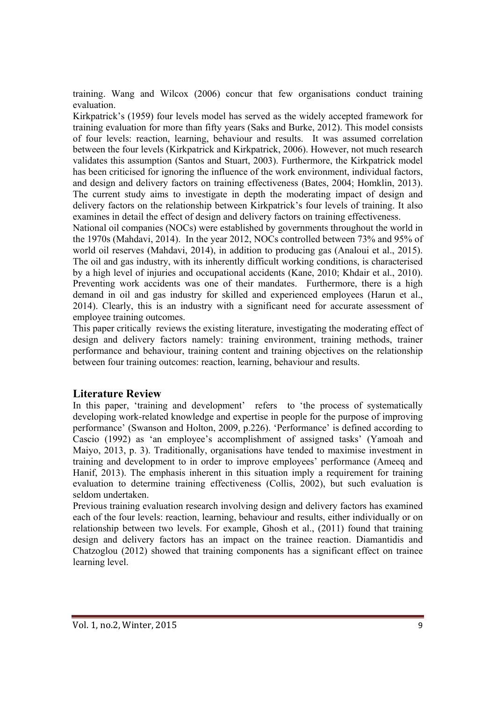training. Wang and Wilcox (2006) concur that few organisations conduct training evaluation.

Kirkpatrick's (1959) four levels model has served as the widely accepted framework for training evaluation for more than fifty years (Saks and Burke, 2012). This model consists of four levels: reaction, learning, behaviour and results. It was assumed correlation between the four levels (Kirkpatrick and Kirkpatrick, 2006). However, not much research validates this assumption (Santos and Stuart, 2003). Furthermore, the Kirkpatrick model has been criticised for ignoring the influence of the work environment, individual factors, and design and delivery factors on training effectiveness (Bates, 2004; Homklin, 2013). The current study aims to investigate in depth the moderating impact of design and delivery factors on the relationship between Kirkpatrick's four levels of training. It also examines in detail the effect of design and delivery factors on training effectiveness.

National oil companies (NOCs) were established by governments throughout the world in the 1970s (Mahdavi, 2014). In the year 2012, NOCs controlled between 73% and 95% of world oil reserves (Mahdavi, 2014), in addition to producing gas (Analoui et al., 2015). The oil and gas industry, with its inherently difficult working conditions, is characterised by a high level of injuries and occupational accidents (Kane, 2010; Khdair et al., 2010). Preventing work accidents was one of their mandates. Furthermore, there is a high demand in oil and gas industry for skilled and experienced employees (Harun et al., 2014). Clearly, this is an industry with a significant need for accurate assessment of employee training outcomes.

This paper critically reviews the existing literature, investigating the moderating effect of design and delivery factors namely: training environment, training methods, trainer performance and behaviour, training content and training objectives on the relationship between four training outcomes: reaction, learning, behaviour and results.

# **Literature Review**

In this paper, 'training and development' refers to 'the process of systematically developing work-related knowledge and expertise in people for the purpose of improving performance' (Swanson and Holton, 2009, p.226). 'Performance' is defined according to Cascio (1992) as 'an employee's accomplishment of assigned tasks' (Yamoah and Maiyo, 2013, p. 3). Traditionally, organisations have tended to maximise investment in training and development to in order to improve employees' performance (Ameeq and Hanif, 2013). The emphasis inherent in this situation imply a requirement for training evaluation to determine training effectiveness (Collis, 2002), but such evaluation is seldom undertaken.

Previous training evaluation research involving design and delivery factors has examined each of the four levels: reaction, learning, behaviour and results, either individually or on relationship between two levels. For example, Ghosh et al., (2011) found that training design and delivery factors has an impact on the trainee reaction. Diamantidis and Chatzoglou (2012) showed that training components has a significant effect on trainee learning level.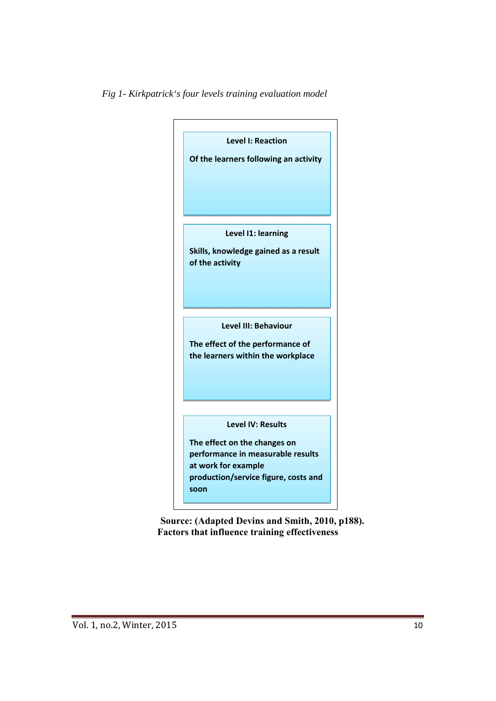



**Source: (Adapted Devins and Smith, 2010, p188). Factors that influence training effectiveness**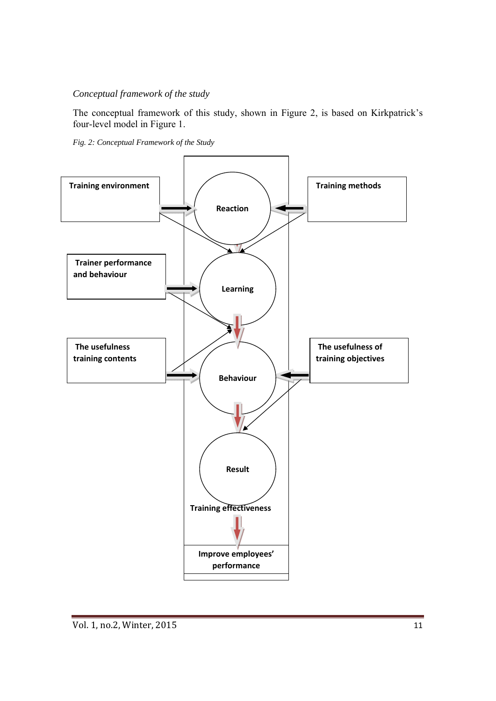## *Conceptual framework of the study*

The conceptual framework of this study, shown in Figure 2, is based on Kirkpatrick's four-level model in Figure 1.

*Fig. 2: Conceptual Framework of the Study* 

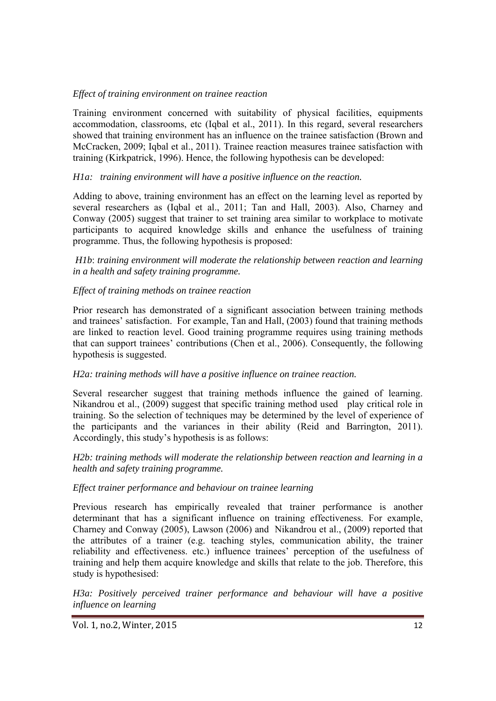## *Effect of training environment on trainee reaction*

Training environment concerned with suitability of physical facilities, equipments accommodation, classrooms, etc (Iqbal et al., 2011). In this regard, several researchers showed that training environment has an influence on the trainee satisfaction (Brown and McCracken, 2009; Iqbal et al., 2011). Trainee reaction measures trainee satisfaction with training (Kirkpatrick, 1996). Hence, the following hypothesis can be developed:

## *H1a: training environment will have a positive influence on the reaction.*

Adding to above, training environment has an effect on the learning level as reported by several researchers as (Iqbal et al., 2011; Tan and Hall, 2003). Also, Charney and Conway (2005) suggest that trainer to set training area similar to workplace to motivate participants to acquired knowledge skills and enhance the usefulness of training programme. Thus, the following hypothesis is proposed:

 *H1b*: *training environment will moderate the relationship between reaction and learning in a health and safety training programme.* 

## *Effect of training methods on trainee reaction*

Prior research has demonstrated of a significant association between training methods and trainees' satisfaction. For example, Tan and Hall, (2003) found that training methods are linked to reaction level. Good training programme requires using training methods that can support trainees' contributions (Chen et al., 2006). Consequently, the following hypothesis is suggested.

#### *H2a: training methods will have a positive influence on trainee reaction.*

Several researcher suggest that training methods influence the gained of learning. Nikandrou et al., (2009) suggest that specific training method used play critical role in training. So the selection of techniques may be determined by the level of experience of the participants and the variances in their ability (Reid and Barrington, 2011). Accordingly, this study's hypothesis is as follows:

*H2b: training methods will moderate the relationship between reaction and learning in a health and safety training programme.* 

#### *Effect trainer performance and behaviour on trainee learning*

Previous research has empirically revealed that trainer performance is another determinant that has a significant influence on training effectiveness. For example, Charney and Conway (2005), Lawson (2006) and Nikandrou et al., (2009) reported that the attributes of a trainer (e.g. teaching styles, communication ability, the trainer reliability and effectiveness. etc.) influence trainees' perception of the usefulness of training and help them acquire knowledge and skills that relate to the job. Therefore, this study is hypothesised:

*H3a: Positively perceived trainer performance and behaviour will have a positive influence on learning* 

Vol. 1, no.2, Winter, 2015 12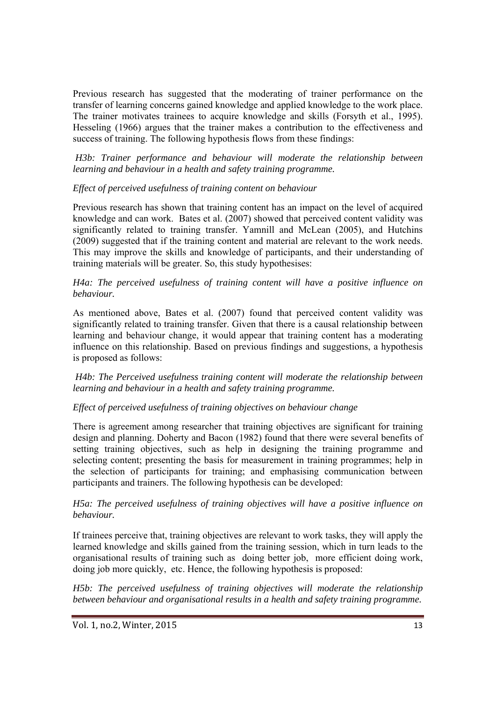Previous research has suggested that the moderating of trainer performance on the transfer of learning concerns gained knowledge and applied knowledge to the work place. The trainer motivates trainees to acquire knowledge and skills (Forsyth et al., 1995). Hesseling (1966) argues that the trainer makes a contribution to the effectiveness and success of training. The following hypothesis flows from these findings:

*H3b: Trainer performance and behaviour will moderate the relationship between learning and behaviour in a health and safety training programme.* 

## *Effect of perceived usefulness of training content on behaviour*

Previous research has shown that training content has an impact on the level of acquired knowledge and can work. Bates et al. (2007) showed that perceived content validity was significantly related to training transfer. Yamnill and McLean (2005), and Hutchins (2009) suggested that if the training content and material are relevant to the work needs. This may improve the skills and knowledge of participants, and their understanding of training materials will be greater. So, this study hypothesises:

#### *H4a: The perceived usefulness of training content will have a positive influence on behaviour.*

As mentioned above, Bates et al. (2007) found that perceived content validity was significantly related to training transfer. Given that there is a causal relationship between learning and behaviour change, it would appear that training content has a moderating influence on this relationship. Based on previous findings and suggestions, a hypothesis is proposed as follows:

 *H4b: The Perceived usefulness training content will moderate the relationship between learning and behaviour in a health and safety training programme.* 

## *Effect of perceived usefulness of training objectives on behaviour change*

There is agreement among researcher that training objectives are significant for training design and planning. Doherty and Bacon (1982) found that there were several benefits of setting training objectives, such as help in designing the training programme and selecting content; presenting the basis for measurement in training programmes; help in the selection of participants for training; and emphasising communication between participants and trainers. The following hypothesis can be developed:

## *H5a: The perceived usefulness of training objectives will have a positive influence on behaviour.*

If trainees perceive that, training objectives are relevant to work tasks, they will apply the learned knowledge and skills gained from the training session, which in turn leads to the organisational results of training such as doing better job, more efficient doing work, doing job more quickly, etc. Hence, the following hypothesis is proposed:

H5b: The perceived usefulness of training objectives will moderate the relationship *between behaviour and organisational results in a health and safety training programme.*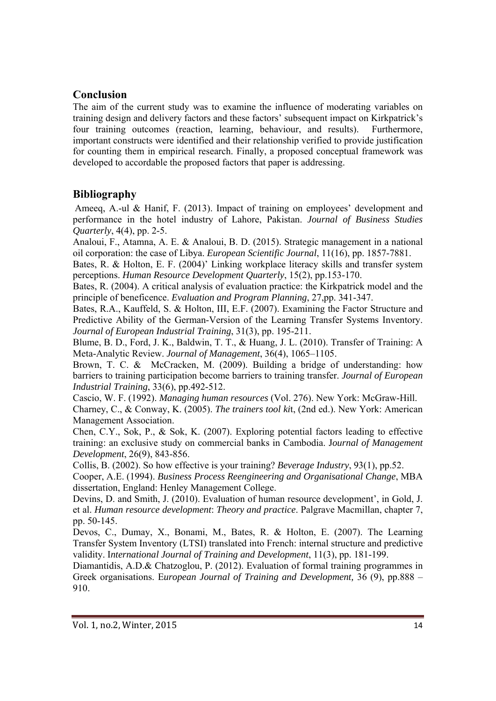# **Conclusion**

The aim of the current study was to examine the influence of moderating variables on training design and delivery factors and these factors' subsequent impact on Kirkpatrick's four training outcomes (reaction, learning, behaviour, and results). Furthermore, important constructs were identified and their relationship verified to provide justification for counting them in empirical research. Finally, a proposed conceptual framework was developed to accordable the proposed factors that paper is addressing.

# **Bibliography**

Ameeq, A.-ul & Hanif, F. (2013). Impact of training on employees' development and performance in the hotel industry of Lahore, Pakistan. *Journal of Business Studies Quarterly*, 4(4), pp. 2-5.

Analoui, F., Atamna, A. E. & Analoui, B. D. (2015). Strategic management in a national oil corporation: the case of Libya. *European Scientific Journal*, 11(16), pp. 1857-7881.

Bates, R. & Holton, E. F. (2004)' Linking workplace literacy skills and transfer system perceptions. *Human Resource Development Quarterly*, 15(2), pp.153-170.

Bates, R. (2004). A critical analysis of evaluation practice: the Kirkpatrick model and the principle of beneficence. *Evaluation and Program Planning*, 27,pp. 341-347.

Bates, R.A., Kauffeld, S. & Holton, III, E.F. (2007). Examining the Factor Structure and Predictive Ability of the German-Version of the Learning Transfer Systems Inventory. *Journal of European Industrial Training*, 31(3), pp. 195-211.

Blume, B. D., Ford, J. K., Baldwin, T. T., & Huang, J. L. (2010). Transfer of Training: A Meta-Analytic Review. *Journal of Management*, 36(4), 1065–1105.

Brown, T. C. & McCracken, M. (2009). Building a bridge of understanding: how barriers to training participation become barriers to training transfer. *Journal of European Industrial Training*, 33(6), pp.492-512.

Cascio, W. F. (1992). *Managing human resources* (Vol. 276). New York: McGraw-Hill. Charney, C., & Conway, K. (2005). *The trainers tool ki*t, (2nd ed.). New York: American Management Association.

Chen, C.Y., Sok, P., & Sok, K. (2007). Exploring potential factors leading to effective training: an exclusive study on commercial banks in Cambodia. J*ournal of Management Development*, 26(9), 843-856.

Collis, B. (2002). So how effective is your training? *Beverage Industry*, 93(1), pp.52.

Cooper, A.E. (1994). *Business Process Reengineering and Organisational Change*, MBA dissertation, England: Henley Management College.

Devins, D. and Smith, J. (2010). Evaluation of human resource development', in Gold, J. et al. *Human resource development*: *Theory and practice*. Palgrave Macmillan, chapter 7, pp. 50-145.

Devos, C., Dumay, X., Bonami, M., Bates, R. & Holton, E. (2007). The Learning Transfer System Inventory (LTSI) translated into French: internal structure and predictive validity. I*nternational Journal of Training and Development*, 11(3), pp. 181-199.

Diamantidis, A.D.& Chatzoglou, P. (2012). Evaluation of formal training programmes in Greek organisations. E*uropean Journal of Training and Development,* 36 (9), pp.888 – 910.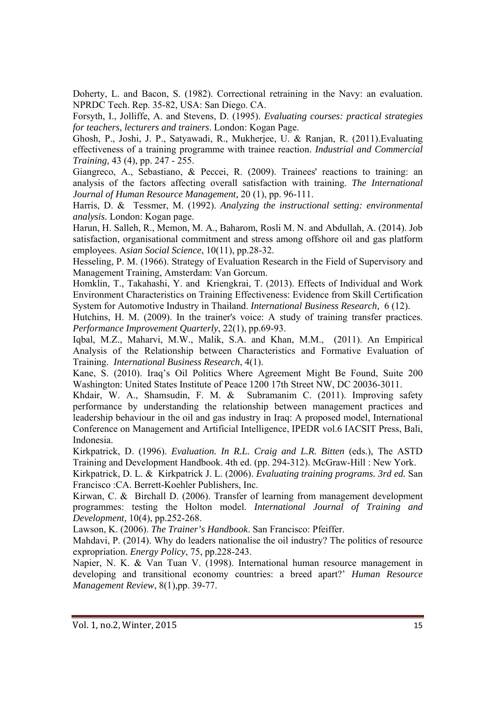Doherty, L. and Bacon, S. (1982). Correctional retraining in the Navy: an evaluation. NPRDC Tech. Rep. 35-82, USA: San Diego. CA.

Forsyth, I., Jolliffe, A. and Stevens, D. (1995). *Evaluating courses: practical strategies for teachers, lecturers and trainers*. London: Kogan Page.

Ghosh, P., Joshi, J. P., Satyawadi, R., Mukherjee, U. & Ranjan, R. (2011).Evaluating effectiveness of a training programme with trainee reaction. *Industrial and Commercial Training,* 43 (4), pp. 247 - 255.

Giangreco, A., Sebastiano, & Peccei, R. (2009). Trainees' reactions to training: an analysis of the factors affecting overall satisfaction with training. *The International Journal of Human Resource Management,* 20 (1), pp. 96-111.

Harris, D. & Tessmer, M. (1992). *Analyzing the instructional setting: environmental analysis.* London: Kogan page.

Harun, H. Salleh, R., Memon, M. A., Baharom, Rosli M. N. and Abdullah, A. (2014). Job satisfaction, organisational commitment and stress among offshore oil and gas platform employees. A*sian Social Science*, 10(11), pp.28-32.

Hesseling, P. M. (1966). Strategy of Evaluation Research in the Field of Supervisory and Management Training, Amsterdam: Van Gorcum.

Homklin, T., Takahashi, Y. and Kriengkrai, T. (2013). Effects of Individual and Work Environment Characteristics on Training Effectiveness: Evidence from Skill Certification System for Automotive Industry in Thailand. *International Business Research,* 6 (12).

Hutchins, H. M. (2009). In the trainer's voice: A study of training transfer practices. *Performance Improvement Quarterly*, 22(1), pp.69-93.

Iqbal, M.Z., Maharvi, M.W., Malik, S.A. and Khan, M.M., (2011). An Empirical Analysis of the Relationship between Characteristics and Formative Evaluation of Training. *International Business Research*, 4(1).

Kane, S. (2010). Iraq's Oil Politics Where Agreement Might Be Found, Suite 200 Washington: United States Institute of Peace 1200 17th Street NW, DC 20036-3011.

Khdair, W. A., Shamsudin, F. M. & Subramanim C. (2011). Improving safety performance by understanding the relationship between management practices and leadership behaviour in the oil and gas industry in Iraq: A proposed model, International Conference on Management and Artificial Intelligence, IPEDR vol.6 IACSIT Press, Bali, Indonesia.

Kirkpatrick, D. (1996). *Evaluation. In R.L. Craig and L.R. Bitten* (eds.), The ASTD Training and Development Handbook. 4th ed. (pp. 294-312). McGraw-Hill : New York.

Kirkpatrick, D. L. & Kirkpatrick J. L. (2006). *Evaluating training programs. 3rd ed.* San Francisco :CA. Berrett-Koehler Publishers, Inc.

Kirwan, C. & Birchall D. (2006). Transfer of learning from management development programmes: testing the Holton model. *International Journal of Training and Development,* 10(4), pp.252-268.

Lawson, K. (2006). *The Trainer's Handbook*. San Francisco: Pfeiffer.

Mahdavi, P. (2014). Why do leaders nationalise the oil industry? The politics of resource expropriation. *Energy Policy*, 75, pp.228-243.

Napier, N. K. & Van Tuan V. (1998). International human resource management in developing and transitional economy countries: a breed apart?' *Human Resource Management Review*, 8(1),pp. 39-77.